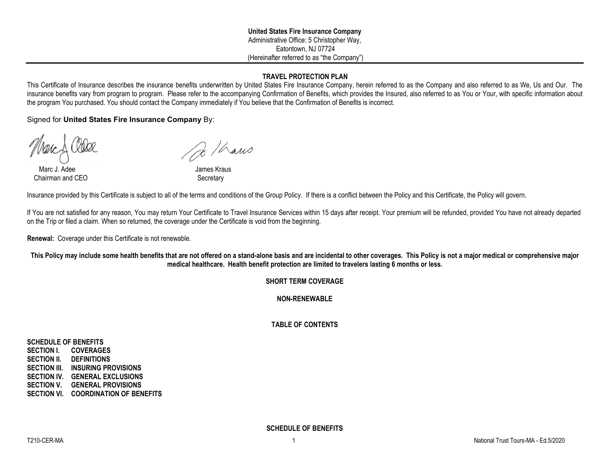## **TRAVEL PROTECTION PLAN**

This Certificate of Insurance describes the insurance benefits underwritten by United States Fire Insurance Company, herein referred to as the Company and also referred to as We, Us and Our. The insurance benefits vary from program to program. Please refer to the accompanying Confirmation of Benefits, which provides the Insured, also referred to as You or Your, with specific information about the program You purchased. You should contact the Company immediately if You believe that the Confirmation of Benefits is incorrect.

Signed for **United States Fire Insurance Company** By:

Marc J. Adee **James Kraus** Chairman and CEO Secretary

 $\frac{1}{8}$ /haws

Insurance provided by this Certificate is subject to all of the terms and conditions of the Group Policy. If there is a conflict between the Policy and this Certificate, the Policy will govern.

If You are not satisfied for any reason, You may return Your Certificate to Travel Insurance Services within 15 days after receipt. Your premium will be refunded, provided You have not already departed on the Trip or filed a claim. When so returned, the coverage under the Certificate is void from the beginning.

**Renewal:** Coverage under this Certificate is not renewable.

**This Policy may include some health benefits that are not offered on a stand-alone basis and are incidental to other coverages. This Policy is not a major medical or comprehensive major medical healthcare. Health benefit protection are limited to travelers lasting 6 months or less.**

## **SHORT TERM COVERAGE**

**NON-RENEWABLE**

## **TABLE OF CONTENTS**

**SCHEDULE OF BENEFITS SECTION I. COVERAGES SECTION II. DEFINITIONS SECTION III. INSURING PROVISIONS SECTION IV. GENERAL EXCLUSIONS SECTION V. GENERAL PROVISIONS SECTION VI. COORDINATION OF BENEFITS**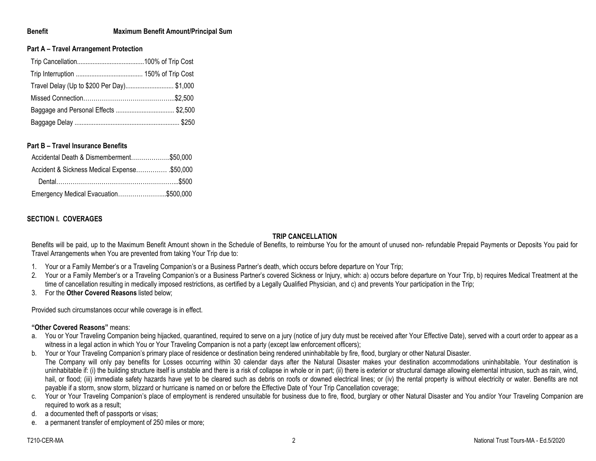#### **Benefit Maximum Benefit Amount/Principal Sum**

#### **Part A – Travel Arrangement Protection**

| Travel Delay (Up to \$200 Per Day) \$1,000 |  |
|--------------------------------------------|--|
|                                            |  |
|                                            |  |
|                                            |  |

#### **Part B – Travel Insurance Benefits**

| Accidental Death & Dismemberment\$50,000    |  |
|---------------------------------------------|--|
| Accident & Sickness Medical Expense\$50,000 |  |
|                                             |  |
| Emergency Medical Evacuation\$500,000       |  |

## **SECTION I. COVERAGES**

#### **TRIP CANCELLATION**

Benefits will be paid, up to the Maximum Benefit Amount shown in the Schedule of Benefits, to reimburse You for the amount of unused non- refundable Prepaid Payments or Deposits You paid for Travel Arrangements when You are prevented from taking Your Trip due to:

- 1. Your or a Family Member's or a Traveling Companion's or a Business Partner's death, which occurs before departure on Your Trip;
- 2. Your or a Family Member's or a Traveling Companion's or a Business Partner's covered Sickness or Injury, which: a) occurs before departure on Your Trip, b) requires Medical Treatment at the time of cancellation resulting in medically imposed restrictions, as certified by a Legally Qualified Physician, and c) and prevents Your participation in the Trip;
- 3. For the **Other Covered Reasons** listed below;

Provided such circumstances occur while coverage is in effect.

## **"Other Covered Reasons"** means:

- a. You or Your Traveling Companion being hijacked, quarantined, required to serve on a jury (notice of jury duty must be received after Your Effective Date), served with a court order to appear as a witness in a legal action in which You or Your Traveling Companion is not a party (except law enforcement officers);
- b. Your or Your Traveling Companion's primary place of residence or destination being rendered uninhabitable by fire, flood, burglary or other Natural Disaster. The Company will only pay benefits for Losses occurring within 30 calendar days after the Natural Disaster makes your destination accommodations uninhabitable. Your destination is uninhabitable if: (i) the building structure itself is unstable and there is a risk of collapse in whole or in part; (ii) there is exterior or structural damage allowing elemental intrusion, such as rain, wind, hail, or flood; (iii) immediate safety hazards have yet to be cleared such as debris on roofs or downed electrical lines; or (iv) the rental property is without electricity or water. Benefits are not payable if a storm, snow storm, blizzard or hurricane is named on or before the Effective Date of Your Trip Cancellation coverage;
- c. Your or Your Traveling Companion's place of employment is rendered unsuitable for business due to fire, flood, burglary or other Natural Disaster and You and/or Your Traveling Companion are required to work as a result;
- d. a documented theft of passports or visas;
- e. a permanent transfer of employment of 250 miles or more;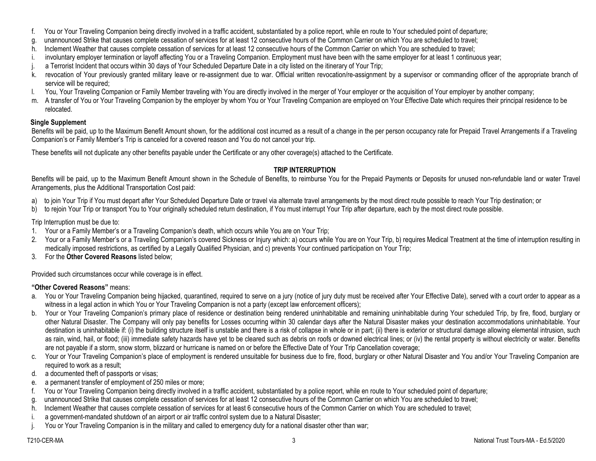- f. You or Your Traveling Companion being directly involved in a traffic accident, substantiated by a police report, while en route to Your scheduled point of departure;
- g. unannounced Strike that causes complete cessation of services for at least 12 consecutive hours of the Common Carrier on which You are scheduled to travel;
- h. Inclement Weather that causes complete cessation of services for at least 12 consecutive hours of the Common Carrier on which You are scheduled to travel;
- i. involuntary employer termination or layoff affecting You or a Traveling Companion. Employment must have been with the same employer for at least 1 continuous year;
- j. a Terrorist Incident that occurs within 30 days of Your Scheduled Departure Date in a city listed on the itinerary of Your Trip;
- k. revocation of Your previously granted military leave or re-assignment due to war. Official written revocation/re-assignment by a supervisor or commanding officer of the appropriate branch of service will be required;
- l. You, Your Traveling Companion or Family Member traveling with You are directly involved in the merger of Your employer or the acquisition of Your employer by another company;
- m. A transfer of You or Your Traveling Companion by the employer by whom You or Your Traveling Companion are employed on Your Effective Date which requires their principal residence to be relocated.

## **Single Supplement**

Benefits will be paid, up to the Maximum Benefit Amount shown, for the additional cost incurred as a result of a change in the per person occupancy rate for Prepaid Travel Arrangements if a Traveling Companion's or Family Member's Trip is canceled for a covered reason and You do not cancel your trip.

These benefits will not duplicate any other benefits payable under the Certificate or any other coverage(s) attached to the Certificate.

## **TRIP INTERRUPTION**

Benefits will be paid, up to the Maximum Benefit Amount shown in the Schedule of Benefits, to reimburse You for the Prepaid Payments or Deposits for unused non-refundable land or water Travel Arrangements, plus the Additional Transportation Cost paid:

- a) to join Your Trip if You must depart after Your Scheduled Departure Date or travel via alternate travel arrangements by the most direct route possible to reach Your Trip destination; or
- b) to reioin Your Trip or transport You to Your originally scheduled return destination, if You must interrupt Your Trip after departure, each by the most direct route possible.

Trip Interruption must be due to:

- 1. Your or a Family Member's or a Traveling Companion's death, which occurs while You are on Your Trip;
- 2. Your or a Family Member's or a Traveling Companion's covered Sickness or Injury which: a) occurs while You are on Your Trip, b) requires Medical Treatment at the time of interruption resulting in medically imposed restrictions, as certified by a Legally Qualified Physician, and c) prevents Your continued participation on Your Trip;
- 3. For the **Other Covered Reasons** listed below;

Provided such circumstances occur while coverage is in effect.

## **"Other Covered Reasons"** means:

- a. You or Your Traveling Companion being hijacked, quarantined, required to serve on a jury (notice of jury duty must be received after Your Effective Date), served with a court order to appear as a witness in a legal action in which You or Your Traveling Companion is not a party (except law enforcement officers);
- b. Your or Your Traveling Companion's primary place of residence or destination being rendered uninhabitable and remaining uninhabitable during Your scheduled Trip, by fire, flood, burglary or other Natural Disaster. The Company will only pay benefits for Losses occurring within 30 calendar days after the Natural Disaster makes your destination accommodations uninhabitable. Your destination is uninhabitable if: (i) the building structure itself is unstable and there is a risk of collapse in whole or in part; (ii) there is exterior or structural damage allowing elemental intrusion, such as rain, wind, hail, or flood; (iii) immediate safety hazards have yet to be cleared such as debris on roofs or downed electrical lines; or (iv) the rental property is without electricity or water. Benefits are not payable if a storm, snow storm, blizzard or hurricane is named on or before the Effective Date of Your Trip Cancellation coverage;
- c. Your or Your Traveling Companion's place of employment is rendered unsuitable for business due to fire, flood, burglary or other Natural Disaster and You and/or Your Traveling Companion are required to work as a result;
- d. a documented theft of passports or visas;
- e. a permanent transfer of employment of 250 miles or more;
- f. You or Your Traveling Companion being directly involved in a traffic accident, substantiated by a police report, while en route to Your scheduled point of departure;
- g. unannounced Strike that causes complete cessation of services for at least 12 consecutive hours of the Common Carrier on which You are scheduled to travel;
- h. Inclement Weather that causes complete cessation of services for at least 6 consecutive hours of the Common Carrier on which You are scheduled to travel;
- i. a government-mandated shutdown of an airport or air traffic control system due to a Natural Disaster;
- j. You or Your Traveling Companion is in the military and called to emergency duty for a national disaster other than war;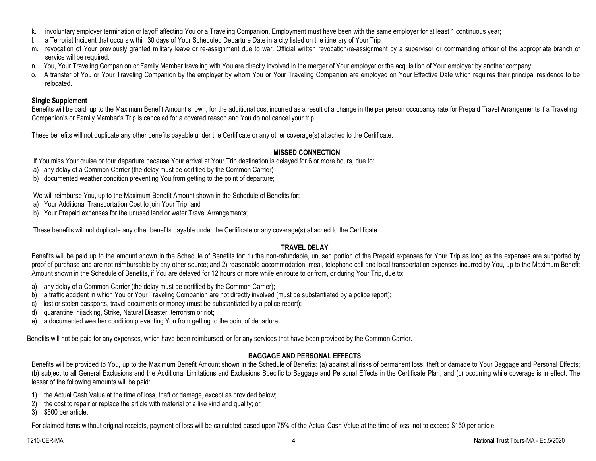- k. involuntary employer termination or layoff affecting You or a Traveling Companion. Employment must have been with the same employer for at least 1 continuous year;
- l. a Terrorist Incident that occurs within 30 days of Your Scheduled Departure Date in a city listed on the itinerary of Your Trip
- m. revocation of Your previously granted military leave or re-assignment due to war. Official written revocation/re-assignment by a supervisor or commanding officer of the appropriate branch of service will be required.
- n. You, Your Traveling Companion or Family Member traveling with You are directly involved in the merger of Your employer or the acquisition of Your employer by another company;
- o. A transfer of You or Your Traveling Companion by the employer by whom You or Your Traveling Companion are employed on Your Effective Date which requires their principal residence to be relocated.

## **Single Supplement**

Benefits will be paid, up to the Maximum Benefit Amount shown, for the additional cost incurred as a result of a change in the per person occupancy rate for Prepaid Travel Arrangements if a Traveling Companion's or Family Member's Trip is canceled for a covered reason and You do not cancel your trip.

These benefits will not duplicate any other benefits payable under the Certificate or any other coverage(s) attached to the Certificate.

## **MISSED CONNECTION**

If You miss Your cruise or tour departure because Your arrival at Your Trip destination is delayed for 6 or more hours, due to:

- a) any delay of a Common Carrier (the delay must be certified by the Common Carrier)
- b) documented weather condition preventing You from getting to the point of departure;

We will reimburse You, up to the Maximum Benefit Amount shown in the Schedule of Benefits for:

- a) Your Additional Transportation Cost to join Your Trip; and
- b) Your Prepaid expenses for the unused land or water Travel Arrangements;

These benefits will not duplicate any other benefits payable under the Certificate or any coverage(s) attached to the Certificate.

## **TRAVEL DELAY**

Benefits will be paid up to the amount shown in the Schedule of Benefits for: 1) the non-refundable, unused portion of the Prepaid expenses for Your Trip as long as the expenses are supported by proof of purchase and are not reimbursable by any other source; and 2) reasonable accommodation, meal, telephone call and local transportation expenses incurred by You, up to the Maximum Benefit Amount shown in the Schedule of Benefits, if You are delayed for 12 hours or more while en route to or from, or during Your Trip, due to:

- a) any delay of a Common Carrier (the delay must be certified by the Common Carrier);
- b) a traffic accident in which You or Your Traveling Companion are not directly involved (must be substantiated by a police report);
- c) lost or stolen passports, travel documents or money (must be substantiated by a police report);
- d) quarantine, hijacking, Strike, Natural Disaster, terrorism or riot;
- e) a documented weather condition preventing You from getting to the point of departure.

Benefits will not be paid for any expenses, which have been reimbursed, or for any services that have been provided by the Common Carrier.

# **BAGGAGE AND PERSONAL EFFECTS**

Benefits will be provided to You, up to the Maximum Benefit Amount shown in the Schedule of Benefits: (a) against all risks of permanent loss, theft or damage to Your Baggage and Personal Effects; (b) subject to all General Exclusions and the Additional Limitations and Exclusions Specific to Baggage and Personal Effects in the Certificate Plan; and (c) occurring while coverage is in effect. The lesser of the following amounts will be paid:

- 1) the Actual Cash Value at the time of loss, theft or damage, except as provided below;
- 2) the cost to repair or replace the article with material of a like kind and quality; or
- 3) \$500 per article.

For claimed items without original receipts, payment of loss will be calculated based upon 75% of the Actual Cash Value at the time of loss, not to exceed \$150 per article.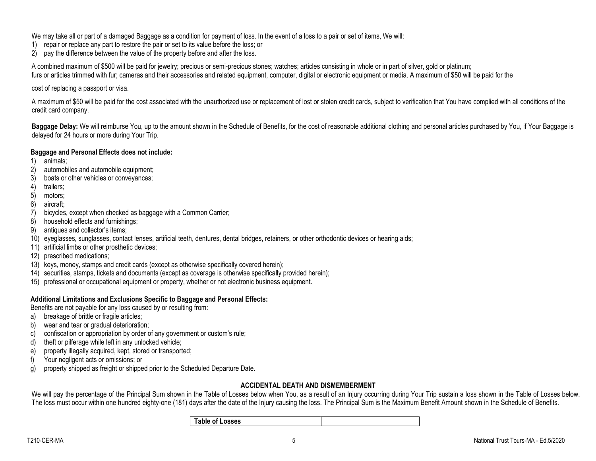We may take all or part of a damaged Baggage as a condition for payment of loss. In the event of a loss to a pair or set of items, We will:

- 1) repair or replace any part to restore the pair or set to its value before the loss; or
- 2) pay the difference between the value of the property before and after the loss.

A combined maximum of \$500 will be paid for jewelry; precious or semi-precious stones; watches; articles consisting in whole or in part of silver, gold or platinum; furs or articles trimmed with fur; cameras and their accessories and related equipment, computer, digital or electronic equipment or media. A maximum of \$50 will be paid for the

cost of replacing a passport or visa.

A maximum of \$50 will be paid for the cost associated with the unauthorized use or replacement of lost or stolen credit cards, subject to verification that You have complied with all conditions of the credit card company.

**Baggage Delay:** We will reimburse You, up to the amount shown in the Schedule of Benefits, for the cost of reasonable additional clothing and personal articles purchased by You, if Your Baggage is delayed for 24 hours or more during Your Trip.

## **Baggage and Personal Effects does not include:**

- 1) animals;
- 2) automobiles and automobile equipment;
- 3) boats or other vehicles or conveyances;
- 4) trailers;
- 5) motors;
- 6) aircraft;
- 7) bicycles, except when checked as baggage with a Common Carrier;
- 8) household effects and furnishings;
- 9) antiques and collector's items;
- 10) eyeglasses, sunglasses, contact lenses, artificial teeth, dentures, dental bridges, retainers, or other orthodontic devices or hearing aids;
- 11) artificial limbs or other prosthetic devices;
- 12) prescribed medications;
- 13) keys, money, stamps and credit cards (except as otherwise specifically covered herein);
- 14) securities, stamps, tickets and documents (except as coverage is otherwise specifically provided herein);
- 15) professional or occupational equipment or property, whether or not electronic business equipment.

## **Additional Limitations and Exclusions Specific to Baggage and Personal Effects:**

Benefits are not payable for any loss caused by or resulting from:

- a) breakage of brittle or fragile articles;
- b) wear and tear or gradual deterioration;
- c) confiscation or appropriation by order of any government or custom's rule;
- d) theft or pilferage while left in any unlocked vehicle;
- e) property illegally acquired, kept, stored or transported;
- f) Your negligent acts or omissions; or
- g) property shipped as freight or shipped prior to the Scheduled Departure Date.

# **ACCIDENTAL DEATH AND DISMEMBERMENT**

We will pay the percentage of the Principal Sum shown in the Table of Losses below when You, as a result of an Injury occurring during Your Trip sustain a loss shown in the Table of Losses below. The loss must occur within one hundred eighty-one (181) days after the date of the Injury causing the loss. The Principal Sum is the Maximum Benefit Amount shown in the Schedule of Benefits.

| <b>Table of Losses</b> |  |
|------------------------|--|
|                        |  |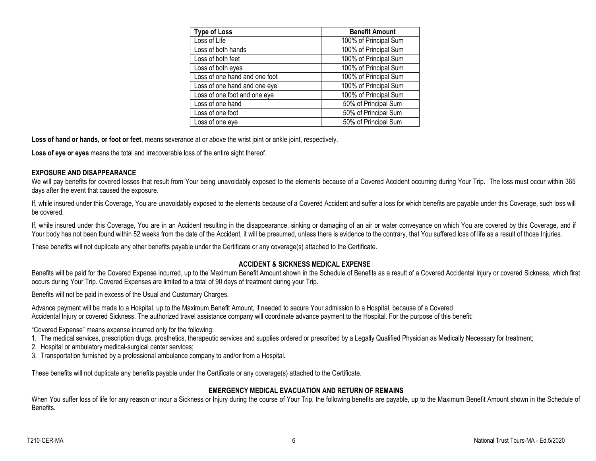| <b>Type of Loss</b>           | <b>Benefit Amount</b> |
|-------------------------------|-----------------------|
| Loss of Life                  | 100% of Principal Sum |
| Loss of both hands            | 100% of Principal Sum |
| Loss of both feet             | 100% of Principal Sum |
| Loss of both eyes             | 100% of Principal Sum |
| Loss of one hand and one foot | 100% of Principal Sum |
| Loss of one hand and one eye  | 100% of Principal Sum |
| Loss of one foot and one eye  | 100% of Principal Sum |
| Loss of one hand              | 50% of Principal Sum  |
| Loss of one foot              | 50% of Principal Sum  |
| Loss of one eye               | 50% of Principal Sum  |

**Loss of hand or hands, or foot or feet**, means severance at or above the wrist joint or ankle joint, respectively.

**Loss of eye or eyes** means the total and irrecoverable loss of the entire sight thereof.

#### **EXPOSURE AND DISAPPEARANCE**

We will pay benefits for covered losses that result from Your being unavoidably exposed to the elements because of a Covered Accident occurring during Your Trip. The loss must occur within 365 days after the event that caused the exposure.

If, while insured under this Coverage, You are unavoidably exposed to the elements because of a Covered Accident and suffer a loss for which benefits are payable under this Coverage, such loss will be covered.

If, while insured under this Coverage, You are in an Accident resulting in the disappearance, sinking or damaging of an air or water conveyance on which You are covered by this Coverage, and if Your body has not been found within 52 weeks from the date of the Accident, it will be presumed, unless there is evidence to the contrary, that You suffered loss of life as a result of those Injuries.

These benefits will not duplicate any other benefits payable under the Certificate or any coverage(s) attached to the Certificate.

## **ACCIDENT & SICKNESS MEDICAL EXPENSE**

Benefits will be paid for the Covered Expense incurred, up to the Maximum Benefit Amount shown in the Schedule of Benefits as a result of a Covered Accidental Injury or covered Sickness, which first occurs during Your Trip. Covered Expenses are limited to a total of 90 days of treatment during your Trip.

Benefits will not be paid in excess of the Usual and Customary Charges.

Advance payment will be made to a Hospital, up to the Maximum Benefit Amount, if needed to secure Your admission to a Hospital, because of a Covered Accidental Injury or covered Sickness. The authorized travel assistance company will coordinate advance payment to the Hospital. For the purpose of this benefit:

"Covered Expense" means expense incurred only for the following:

1. The medical services, prescription drugs, prosthetics, therapeutic services and supplies ordered or prescribed by a Legally Qualified Physician as Medically Necessary for treatment;

2. Hospital or ambulatory medical-surgical center services;

3. Transportation furnished by a professional ambulance company to and/or from a Hospital**.**

These benefits will not duplicate any benefits payable under the Certificate or any coverage(s) attached to the Certificate.

## **EMERGENCY MEDICAL EVACUATION AND RETURN OF REMAINS**

When You suffer loss of life for any reason or incur a Sickness or Injury during the course of Your Trip, the following benefits are payable, up to the Maximum Benefit Amount shown in the Schedule of Benefits.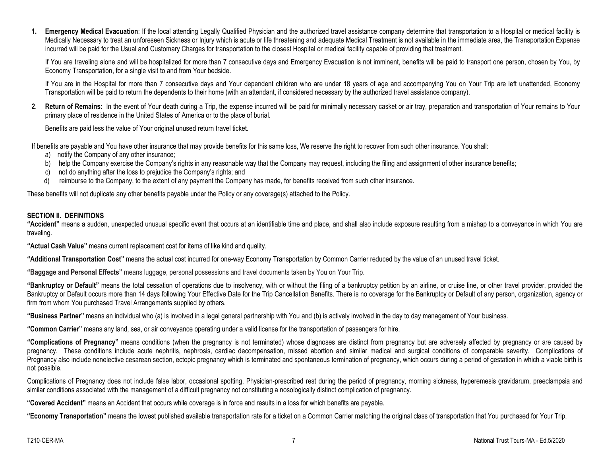**1. Emergency Medical Evacuation**: If the local attending Legally Qualified Physician and the authorized travel assistance company determine that transportation to a Hospital or medical facility is Medically Necessary to treat an unforeseen Sickness or Injury which is acute or life threatening and adequate Medical Treatment is not available in the immediate area, the Transportation Expense incurred will be paid for the Usual and Customary Charges for transportation to the closest Hospital or medical facility capable of providing that treatment.

If You are traveling alone and will be hospitalized for more than 7 consecutive days and Emergency Evacuation is not imminent, benefits will be paid to transport one person, chosen by You, by Economy Transportation, for a single visit to and from Your bedside.

If You are in the Hospital for more than 7 consecutive days and Your dependent children who are under 18 years of age and accompanying You on Your Trip are left unattended, Economy Transportation will be paid to return the dependents to their home (with an attendant, if considered necessary by the authorized travel assistance company).

**2**. **Return of Remains**: In the event of Your death during a Trip, the expense incurred will be paid for minimally necessary casket or air tray, preparation and transportation of Your remains to Your primary place of residence in the United States of America or to the place of burial.

Benefits are paid less the value of Your original unused return travel ticket.

If benefits are payable and You have other insurance that may provide benefits for this same loss, We reserve the right to recover from such other insurance. You shall:

- a) notify the Company of any other insurance;
- b) help the Company exercise the Company's rights in any reasonable way that the Company may request, including the filing and assignment of other insurance benefits;
- c) not do anything after the loss to prejudice the Company's rights; and
- d) reimburse to the Company, to the extent of any payment the Company has made, for benefits received from such other insurance.

These benefits will not duplicate any other benefits payable under the Policy or any coverage(s) attached to the Policy.

## **SECTION II. DEFINITIONS**

**"Accident"** means a sudden, unexpected unusual specific event that occurs at an identifiable time and place, and shall also include exposure resulting from a mishap to a conveyance in which You are traveling.

**"Actual Cash Value"** means current replacement cost for items of like kind and quality.

**"Additional Transportation Cost"** means the actual cost incurred for one-way Economy Transportation by Common Carrier reduced by the value of an unused travel ticket.

**"Baggage and Personal Effects"** means luggage, personal possessions and travel documents taken by You on Your Trip.

**"Bankruptcy or Default"** means the total cessation of operations due to insolvency, with or without the filing of a bankruptcy petition by an airline, or cruise line, or other travel provider, provided the Bankruptcy or Default occurs more than 14 days following Your Effective Date for the Trip Cancellation Benefits. There is no coverage for the Bankruptcy or Default of any person, organization, agency or firm from whom You purchased Travel Arrangements supplied by others.

**"Business Partner"** means an individual who (a) is involved in a legal general partnership with You and (b) is actively involved in the day to day management of Your business.

**"Common Carrier"** means any land, sea, or air conveyance operating under a valid license for the transportation of passengers for hire.

**"Complications of Pregnancy"** means conditions (when the pregnancy is not terminated) whose diagnoses are distinct from pregnancy but are adversely affected by pregnancy or are caused by pregnancy. These conditions include acute nephritis, nephrosis, cardiac decompensation, missed abortion and similar medical and surgical conditions of comparable severity. Complications of Pregnancy also include nonelective cesarean section, ectopic pregnancy which is terminated and spontaneous termination of pregnancy, which occurs during a period of gestation in which a viable birth is not possible.

Complications of Pregnancy does not include false labor, occasional spotting, Physician-prescribed rest during the period of pregnancy, morning sickness, hyperemesis gravidarum, preeclampsia and similar conditions associated with the management of a difficult pregnancy not constituting a nosologically distinct complication of pregnancy.

**"Covered Accident"** means an Accident that occurs while coverage is in force and results in a loss for which benefits are payable.

**"Economy Transportation"** means the lowest published available transportation rate for a ticket on a Common Carrier matching the original class of transportation that You purchased for Your Trip.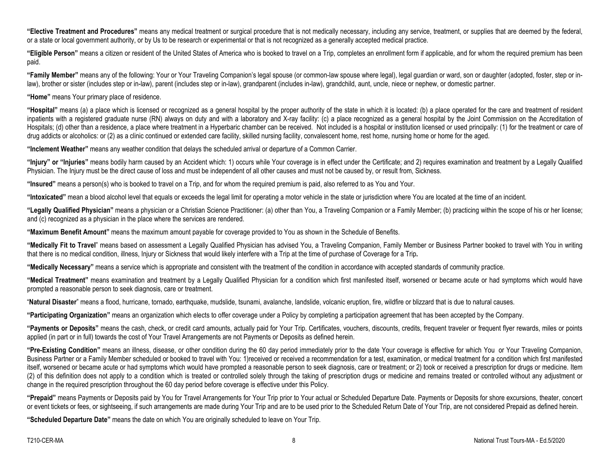**"Elective Treatment and Procedures"** means any medical treatment or surgical procedure that is not medically necessary, including any service, treatment, or supplies that are deemed by the federal, or a state or local government authority, or by Us to be research or experimental or that is not recognized as a generally accepted medical practice.

**"Eligible Person"** means a citizen or resident of the United States of America who is booked to travel on a Trip, completes an enrollment form if applicable, and for whom the required premium has been paid.

**"Family Member"** means any of the following: Your or Your Traveling Companion's legal spouse (or common-law spouse where legal), legal guardian or ward, son or daughter (adopted, foster, step or inlaw), brother or sister (includes step or in-law), parent (includes step or in-law), grandparent (includes in-law), grandchild, aunt, uncle, niece or nephew, or domestic partner.

**"Home"** means Your primary place of residence.

**"Hospital"** means (a) a place which is licensed or recognized as a general hospital by the proper authority of the state in which it is located: (b) a place operated for the care and treatment of resident inpatients with a registered graduate nurse (RN) always on duty and with a laboratory and X-ray facility: (c) a place recognized as a general hospital by the Joint Commission on the Accreditation of Hospitals; (d) other than a residence, a place where treatment in a Hyperbaric chamber can be received. Not included is a hospital or institution licensed or used principally: (1) for the treatment or care of drug addicts or alcoholics: or (2) as a clinic continued or extended care facility, skilled nursing facility, convalescent home, rest home, nursing home or home for the aged.

**"Inclement Weather"** means any weather condition that delays the scheduled arrival or departure of a Common Carrier.

"Injury" or "Injuries" means bodily harm caused by an Accident which: 1) occurs while Your coverage is in effect under the Certificate; and 2) requires examination and treatment by a Legally Qualified Physician. The Injury must be the direct cause of loss and must be independent of all other causes and must not be caused by, or result from, Sickness.

**"Insured"** means a person(s) who is booked to travel on a Trip, and for whom the required premium is paid, also referred to as You and Your.

**"Intoxicated"** mean a blood alcohol level that equals or exceeds the legal limit for operating a motor vehicle in the state or jurisdiction where You are located at the time of an incident.

**"Legally Qualified Physician"** means a physician or a Christian Science Practitioner: (a) other than You, a Traveling Companion or a Family Member; (b) practicing within the scope of his or her license; and (c) recognized as a physician in the place where the services are rendered.

**"Maximum Benefit Amount"** means the maximum amount payable for coverage provided to You as shown in the Schedule of Benefits.

**"Medically Fit to Travel**" means based on assessment a Legally Qualified Physician has advised You, a Traveling Companion, Family Member or Business Partner booked to travel with You in writing that there is no medical condition, illness, Injury or Sickness that would likely interfere with a Trip at the time of purchase of Coverage for a Trip**.**

**"Medically Necessary"** means a service which is appropriate and consistent with the treatment of the condition in accordance with accepted standards of community practice.

**"Medical Treatment"** means examination and treatment by a Legally Qualified Physician for a condition which first manifested itself, worsened or became acute or had symptoms which would have prompted a reasonable person to seek diagnosis, care or treatment.

"**Natural Disaster**" means a flood, hurricane, tornado, earthquake, mudslide, tsunami, avalanche, landslide, volcanic eruption, fire, wildfire or blizzard that is due to natural causes.

**"Participating Organization"** means an organization which elects to offer coverage under a Policy by completing a participation agreement that has been accepted by the Company.

**"Payments or Deposits"** means the cash, check, or credit card amounts, actually paid for Your Trip. Certificates, vouchers, discounts, credits, frequent traveler or frequent flyer rewards, miles or points applied (in part or in full) towards the cost of Your Travel Arrangements are not Payments or Deposits as defined herein.

**"Pre-Existing Condition"** means an illness, disease, or other condition during the 60 day period immediately prior to the date Your coverage is effective for which You or Your Traveling Companion, Business Partner or a Family Member scheduled or booked to travel with You: 1)received or received a recommendation for a test, examination, or medical treatment for a condition which first manifested itself, worsened or became acute or had symptoms which would have prompted a reasonable person to seek diagnosis, care or treatment; or 2) took or received a prescription for drugs or medicine. Item (2) of this definition does not apply to a condition which is treated or controlled solely through the taking of prescription drugs or medicine and remains treated or controlled without any adjustment or change in the required prescription throughout the 60 day period before coverage is effective under this Policy.

**"Prepaid"** means Payments or Deposits paid by You for Travel Arrangements for Your Trip prior to Your actual or Scheduled Departure Date. Payments or Deposits for shore excursions, theater, concert or event tickets or fees, or sightseeing, if such arrangements are made during Your Trip and are to be used prior to the Scheduled Return Date of Your Trip, are not considered Prepaid as defined herein.

**"Scheduled Departure Date"** means the date on which You are originally scheduled to leave on Your Trip.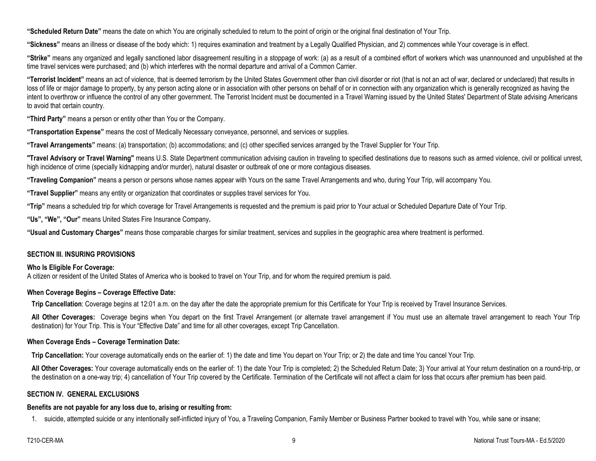**"Scheduled Return Date"** means the date on which You are originally scheduled to return to the point of origin or the original final destination of Your Trip.

**"Sickness"** means an illness or disease of the body which: 1) requires examination and treatment by a Legally Qualified Physician, and 2) commences while Your coverage is in effect.

**"Strike"** means any organized and legally sanctioned labor disagreement resulting in a stoppage of work: (a) as a result of a combined effort of workers which was unannounced and unpublished at the time travel services were purchased; and (b) which interferes with the normal departure and arrival of a Common Carrier.

**"Terrorist Incident"** means an act of violence, that is deemed terrorism by the United States Government other than civil disorder or riot (that is not an act of war, declared or undeclared) that results in loss of life or major damage to property, by any person acting alone or in association with other persons on behalf of or in connection with any organization which is generally recognized as having the intent to overthrow or influence the control of any other government. The Terrorist Incident must be documented in a Travel Warning issued by the United States' Department of State advising Americans to avoid that certain country.

**"Third Party"** means a person or entity other than You or the Company.

**"Transportation Expense"** means the cost of Medically Necessary conveyance, personnel, and services or supplies.

**"Travel Arrangements"** means: (a) transportation; (b) accommodations; and (c) other specified services arranged by the Travel Supplier for Your Trip.

**"Travel Advisory or Travel Warning"** means U.S. State Department communication advising caution in traveling to specified destinations due to reasons such as armed violence, civil or political unrest, high incidence of crime (specially kidnapping and/or murder), natural disaster or outbreak of one or more contagious diseases.

**"Traveling Companion"** means a person or persons whose names appear with Yours on the same Travel Arrangements and who, during Your Trip, will accompany You.

**"Travel Supplier"** means any entity or organization that coordinates or supplies travel services for You.

**"Trip"** means a scheduled trip for which coverage for Travel Arrangements is requested and the premium is paid prior to Your actual or Scheduled Departure Date of Your Trip.

**"Us", "We", "Our"** means United States Fire Insurance Company**.**

**"Usual and Customary Charges"** means those comparable charges for similar treatment, services and supplies in the geographic area where treatment is performed.

## **SECTION III. INSURING PROVISIONS**

## **Who Is Eligible For Coverage:**

A citizen or resident of the United States of America who is booked to travel on Your Trip, and for whom the required premium is paid.

## **When Coverage Begins – Coverage Effective Date:**

**Trip Cancellation**: Coverage begins at 12:01 a.m. on the day after the date the appropriate premium for this Certificate for Your Trip is received by Travel Insurance Services.

All Other Coverages: Coverage begins when You depart on the first Travel Arrangement (or alternate travel arrangement if You must use an alternate travel arrangement to reach Your Trip destination) for Your Trip. This is Your "Effective Date" and time for all other coverages, except Trip Cancellation.

## **When Coverage Ends – Coverage Termination Date:**

**Trip Cancellation:** Your coverage automatically ends on the earlier of: 1) the date and time You depart on Your Trip; or 2) the date and time You cancel Your Trip.

**All Other Coverages:** Your coverage automatically ends on the earlier of: 1) the date Your Trip is completed; 2) the Scheduled Return Date; 3) Your arrival at Your return destination on a round-trip, or the destination on a one-way trip; 4) cancellation of Your Trip covered by the Certificate. Termination of the Certificate will not affect a claim for loss that occurs after premium has been paid.

## **SECTION IV. GENERAL EXCLUSIONS**

## **Benefits are not payable for any loss due to, arising or resulting from:**

1. suicide, attempted suicide or any intentionally self-inflicted injury of You, a Traveling Companion, Family Member or Business Partner booked to travel with You, while sane or insane;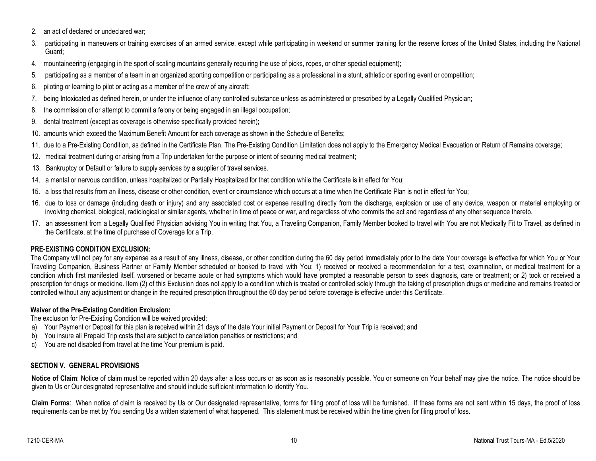- 2. an act of declared or undeclared war;
- 3. participating in maneuvers or training exercises of an armed service, except while participating in weekend or summer training for the reserve forces of the United States, including the National Guard;
- 4. mountaineering (engaging in the sport of scaling mountains generally requiring the use of picks, ropes, or other special equipment);
- 5. participating as a member of a team in an organized sporting competition or participating as a professional in a stunt, athletic or sporting event or competition;
- 6. piloting or learning to pilot or acting as a member of the crew of any aircraft;
- 7. being Intoxicated as defined herein, or under the influence of any controlled substance unless as administered or prescribed by a Legally Qualified Physician;
- 8. the commission of or attempt to commit a felony or being engaged in an illegal occupation;
- 9. dental treatment (except as coverage is otherwise specifically provided herein);
- 10. amounts which exceed the Maximum Benefit Amount for each coverage as shown in the Schedule of Benefits;
- 11. due to a Pre-Existing Condition, as defined in the Certificate Plan. The Pre-Existing Condition Limitation does not apply to the Emergency Medical Evacuation or Return of Remains coverage;
- 12. medical treatment during or arising from a Trip undertaken for the purpose or intent of securing medical treatment;
- 13. Bankruptcy or Default or failure to supply services by a supplier of travel services.
- 14. a mental or nervous condition, unless hospitalized or Partially Hospitalized for that condition while the Certificate is in effect for You;
- 15. a loss that results from an illness, disease or other condition, event or circumstance which occurs at a time when the Certificate Plan is not in effect for You;
- 16. due to loss or damage (including death or injury) and any associated cost or expense resulting directly from the discharge, explosion or use of any device, weapon or material employing or involving chemical, biological, radiological or similar agents, whether in time of peace or war, and regardless of who commits the act and regardless of any other sequence thereto.
- 17. an assessment from a Legally Qualified Physician advising You in writing that You, a Traveling Companion, Family Member booked to travel with You are not Medically Fit to Travel, as defined in the Certificate, at the time of purchase of Coverage for a Trip.

# **PRE-EXISTING CONDITION EXCLUSION:**

The Company will not pay for any expense as a result of any illness, disease, or other condition during the 60 day period immediately prior to the date Your coverage is effective for which You or Your Traveling Companion, Business Partner or Family Member scheduled or booked to travel with You: 1) received or received a recommendation for a test, examination, or medical treatment for a condition which first manifested itself, worsened or became acute or had symptoms which would have prompted a reasonable person to seek diagnosis, care or treatment; or 2) took or received a prescription for drugs or medicine. Item (2) of this Exclusion does not apply to a condition which is treated or controlled solely through the taking of prescription drugs or medicine and remains treated or controlled without any adjustment or change in the required prescription throughout the 60 day period before coverage is effective under this Certificate.

# **Waiver of the Pre-Existing Condition Exclusion:**

The exclusion for Pre-Existing Condition will be waived provided:

- a) Your Payment or Deposit for this plan is received within 21 days of the date Your initial Payment or Deposit for Your Trip is received; and
- b) You insure all Prepaid Trip costs that are subject to cancellation penalties or restrictions; and
- c) You are not disabled from travel at the time Your premium is paid.

# **SECTION V. GENERAL PROVISIONS**

Notice of Claim: Notice of claim must be reported within 20 days after a loss occurs or as soon as is reasonably possible. You or someone on Your behalf may give the notice. The notice should be given to Us or Our designated representative and should include sufficient information to identify You.

Claim Forms: When notice of claim is received by Us or Our designated representative, forms for filing proof of loss will be furnished. If these forms are not sent within 15 days, the proof of loss requirements can be met by You sending Us a written statement of what happened. This statement must be received within the time given for filing proof of loss.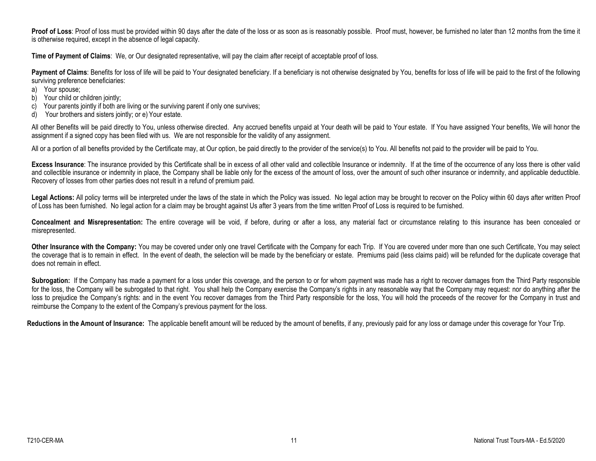Proof of Loss: Proof of loss must be provided within 90 days after the date of the loss or as soon as is reasonably possible. Proof must, however, be furnished no later than 12 months from the time it is otherwise required, except in the absence of legal capacity.

**Time of Payment of Claims**: We, or Our designated representative, will pay the claim after receipt of acceptable proof of loss.

Payment of Claims: Benefits for loss of life will be paid to Your designated beneficiary. If a beneficiary is not otherwise designated by You, benefits for loss of life will be paid to the first of the following surviving preference beneficiaries:

- a) Your spouse;
- b) Your child or children jointly;
- c) Your parents jointly if both are living or the surviving parent if only one survives;
- d) Your brothers and sisters jointly; or e) Your estate.

All other Benefits will be paid directly to You, unless otherwise directed. Any accrued benefits unpaid at Your death will be paid to Your estate. If You have assigned Your benefits, We will honor the assignment if a signed copy has been filed with us. We are not responsible for the validity of any assignment.

All or a portion of all benefits provided by the Certificate may, at Our option, be paid directly to the provider of the service(s) to You. All benefits not paid to the provider will be paid to You.

Excess Insurance: The insurance provided by this Certificate shall be in excess of all other valid and collectible Insurance or indemnity. If at the time of the occurrence of any loss there is other valid and collectible insurance or indemnity in place, the Company shall be liable only for the excess of the amount of loss, over the amount of such other insurance or indemnity, and applicable deductible. Recovery of losses from other parties does not result in a refund of premium paid.

Legal Actions: All policy terms will be interpreted under the laws of the state in which the Policy was issued. No legal action may be brought to recover on the Policy within 60 days after written Proof of Loss has been furnished. No legal action for a claim may be brought against Us after 3 years from the time written Proof of Loss is required to be furnished.

**Concealment and Misrepresentation:** The entire coverage will be void, if before, during or after a loss, any material fact or circumstance relating to this insurance has been concealed or misrepresented.

Other Insurance with the Company: You may be covered under only one travel Certificate with the Company for each Trip. If You are covered under more than one such Certificate, You may select the coverage that is to remain in effect. In the event of death, the selection will be made by the beneficiary or estate. Premiums paid (less claims paid) will be refunded for the duplicate coverage that does not remain in effect.

Subrogation: If the Company has made a payment for a loss under this coverage, and the person to or for whom payment was made has a right to recover damages from the Third Party responsible for the loss, the Company will be subrogated to that right. You shall help the Company exercise the Company's rights in any reasonable way that the Company may request: nor do anything after the loss to prejudice the Company's rights: and in the event You recover damages from the Third Party responsible for the loss, You will hold the proceeds of the recover for the Company in trust and reimburse the Company to the extent of the Company's previous payment for the loss.

Reductions in the Amount of Insurance: The applicable benefit amount will be reduced by the amount of benefits, if any, previously paid for any loss or damage under this coverage for Your Trip.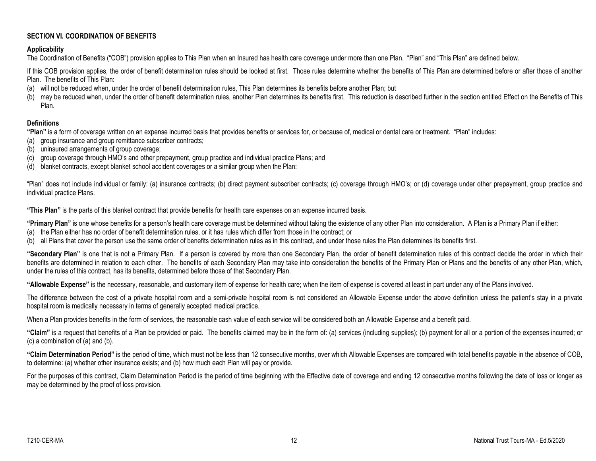## **SECTION VI. COORDINATION OF BENEFITS**

## **Applicability**

The Coordination of Benefits ("COB") provision applies to This Plan when an Insured has health care coverage under more than one Plan. "Plan" and "This Plan" are defined below.

If this COB provision applies, the order of benefit determination rules should be looked at first. Those rules determine whether the benefits of This Plan are determined before or after those of another Plan. The benefits of This Plan:

- (a) will not be reduced when, under the order of benefit determination rules, This Plan determines its benefits before another Plan; but
- (b) may be reduced when, under the order of benefit determination rules, another Plan determines its benefits first. This reduction is described further in the section entitled Effect on the Benefits of This Plan.

## **Definitions**

**"Plan"** is a form of coverage written on an expense incurred basis that provides benefits or services for, or because of, medical or dental care or treatment. "Plan" includes:

- (a) group insurance and group remittance subscriber contracts;
- (b) uninsured arrangements of group coverage;
- (c) group coverage through HMO's and other prepayment, group practice and individual practice Plans; and
- (d) blanket contracts, except blanket school accident coverages or a similar group when the Plan:

"Plan" does not include individual or family: (a) insurance contracts; (b) direct payment subscriber contracts; (c) coverage through HMO's; or (d) coverage under other prepayment, group practice and individual practice Plans.

**"This Plan"** is the parts of this blanket contract that provide benefits for health care expenses on an expense incurred basis.

**"Primary Plan"** is one whose benefits for a person's health care coverage must be determined without taking the existence of any other Plan into consideration. A Plan is a Primary Plan if either:

- (a) the Plan either has no order of benefit determination rules, or it has rules which differ from those in the contract; or
- (b) all Plans that cover the person use the same order of benefits determination rules as in this contract, and under those rules the Plan determines its benefits first.

**"Secondary Plan"** is one that is not a Primary Plan. If a person is covered by more than one Secondary Plan, the order of benefit determination rules of this contract decide the order in which their benefits are determined in relation to each other. The benefits of each Secondary Plan may take into consideration the benefits of the Primary Plan or Plans and the benefits of any other Plan, which, under the rules of this contract, has its benefits, determined before those of that Secondary Plan.

**"Allowable Expense"** is the necessary, reasonable, and customary item of expense for health care; when the item of expense is covered at least in part under any of the Plans involved.

The difference between the cost of a private hospital room and a semi-private hospital room is not considered an Allowable Expense under the above definition unless the patient's stay in a private hospital room is medically necessary in terms of generally accepted medical practice.

When a Plan provides benefits in the form of services, the reasonable cash value of each service will be considered both an Allowable Expense and a benefit paid.

**"Claim"** is a request that benefits of a Plan be provided or paid. The benefits claimed may be in the form of: (a) services (including supplies); (b) payment for all or a portion of the expenses incurred; or (c) a combination of (a) and (b).

**"Claim Determination Period"** is the period of time, which must not be less than 12 consecutive months, over which Allowable Expenses are compared with total benefits payable in the absence of COB, to determine: (a) whether other insurance exists; and (b) how much each Plan will pay or provide.

For the purposes of this contract, Claim Determination Period is the period of time beginning with the Effective date of coverage and ending 12 consecutive months following the date of loss or longer as may be determined by the proof of loss provision.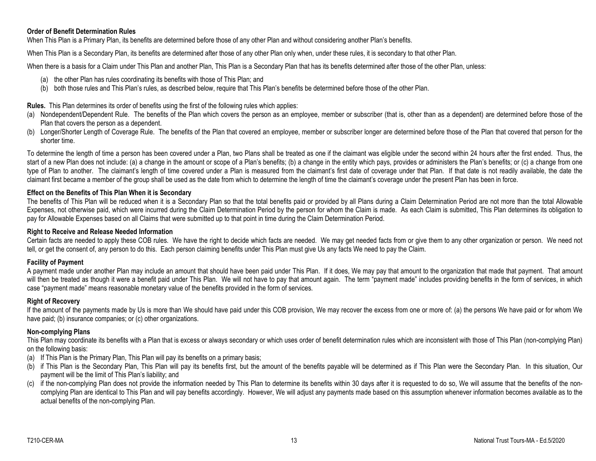## **Order of Benefit Determination Rules**

When This Plan is a Primary Plan, its benefits are determined before those of any other Plan and without considering another Plan's benefits.

When This Plan is a Secondary Plan, its benefits are determined after those of any other Plan only when, under these rules, it is secondary to that other Plan.

When there is a basis for a Claim under This Plan and another Plan, This Plan is a Secondary Plan that has its benefits determined after those of the other Plan, unless:

- (a) the other Plan has rules coordinating its benefits with those of This Plan; and
- (b) both those rules and This Plan's rules, as described below, require that This Plan's benefits be determined before those of the other Plan.

## **Rules.** This Plan determines its order of benefits using the first of the following rules which applies:

- (a) Nondependent/Dependent Rule. The benefits of the Plan which covers the person as an employee, member or subscriber (that is, other than as a dependent) are determined before those of the Plan that covers the person as a dependent.
- (b) Longer/Shorter Length of Coverage Rule. The benefits of the Plan that covered an employee, member or subscriber longer are determined before those of the Plan that covered that person for the shorter time.

To determine the length of time a person has been covered under a Plan, two Plans shall be treated as one if the claimant was eligible under the second within 24 hours after the first ended. Thus, the start of a new Plan does not include: (a) a change in the amount or scope of a Plan's benefits; (b) a change in the entity which pays, provides or administers the Plan's benefits; or (c) a change from one type of Plan to another. The claimant's length of time covered under a Plan is measured from the claimant's first date of coverage under that Plan. If that date is not readily available, the date the claimant first became a member of the group shall be used as the date from which to determine the length of time the claimant's coverage under the present Plan has been in force.

#### **Effect on the Benefits of This Plan When it is Secondary**

The benefits of This Plan will be reduced when it is a Secondary Plan so that the total benefits paid or provided by all Plans during a Claim Determination Period are not more than the total Allowable Expenses, not otherwise paid, which were incurred during the Claim Determination Period by the person for whom the Claim is made. As each Claim is submitted, This Plan determines its obligation to pay for Allowable Expenses based on all Claims that were submitted up to that point in time during the Claim Determination Period.

#### **Right to Receive and Release Needed Information**

Certain facts are needed to apply these COB rules. We have the right to decide which facts are needed. We may get needed facts from or give them to any other organization or person. We need not tell, or get the consent of, any person to do this. Each person claiming benefits under This Plan must give Us any facts We need to pay the Claim.

#### **Facility of Payment**

A payment made under another Plan may include an amount that should have been paid under This Plan. If it does, We may pay that amount to the organization that made that payment. That amount will then be treated as though it were a benefit paid under This Plan. We will not have to pay that amount again. The term "payment made" includes providing benefits in the form of services, in which case "payment made" means reasonable monetary value of the benefits provided in the form of services.

## **Right of Recovery**

If the amount of the payments made by Us is more than We should have paid under this COB provision, We may recover the excess from one or more of: (a) the persons We have paid or for whom We have paid; (b) insurance companies; or (c) other organizations.

## **Non-complying Plans**

This Plan may coordinate its benefits with a Plan that is excess or always secondary or which uses order of benefit determination rules which are inconsistent with those of This Plan (non-complying Plan) on the following basis:

- (a) If This Plan is the Primary Plan, This Plan will pay its benefits on a primary basis;
- (b) if This Plan is the Secondary Plan, This Plan will pay its benefits first, but the amount of the benefits payable will be determined as if This Plan were the Secondary Plan. In this situation, Our payment will be the limit of This Plan's liability; and
- (c) if the non-complying Plan does not provide the information needed by This Plan to determine its benefits within 30 days after it is requested to do so, We will assume that the benefits of the noncomplying Plan are identical to This Plan and will pay benefits accordingly. However, We will adjust any payments made based on this assumption whenever information becomes available as to the actual benefits of the non-complying Plan.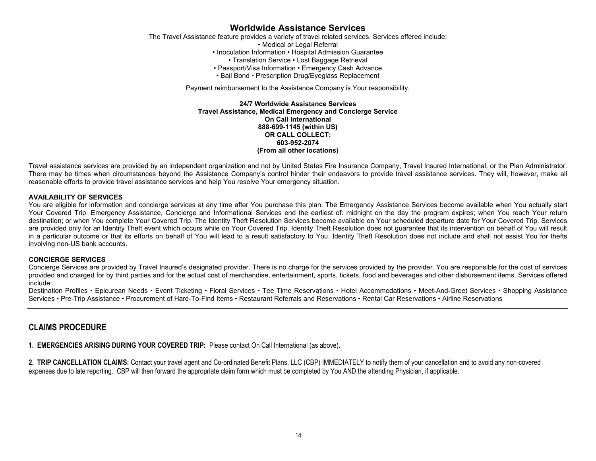# **Worldwide Assistance Services**

The Travel Assistance feature provides a variety of travel related services. Services offered include: • Medical or Legal Referral • Inoculation Information • Hospital Admission Guarantee • Translation Service • Lost Baggage Retrieval • Passport/Visa Information • Emergency Cash Advance

• Bail Bond • Prescription Drug/Eyeglass Replacement

Payment reimbursement to the Assistance Company is Your responsibility.

**24/7 Worldwide Assistance Services Travel Assistance, Medical Emergency and Concierge Service On Call International 888-699-1145 (within US) OR CALL COLLECT: 603-952-2074 (From all other locations)**

Travel assistance services are provided by an independent organization and not by United States Fire Insurance Company, Travel Insured International, or the Plan Administrator. There may be times when circumstances beyond the Assistance Company's control hinder their endeavors to provide travel assistance services. They will, however, make all reasonable efforts to provide travel assistance services and help You resolve Your emergency situation.

#### **AVAILABILITY OF SERVICES**

You are eligible for information and concierge services at any time after You purchase this plan. The Emergency Assistance Services become available when You actually start Your Covered Trip. Emergency Assistance, Concierge and Informational Services end the earliest of: midnight on the day the program expires; when You reach Your return destination; or when You complete Your Covered Trip. The Identity Theft Resolution Services become available on Your scheduled departure date for Your Covered Trip. Services are provided only for an Identity Theft event which occurs while on Your Covered Trip. Identity Theft Resolution does not guarantee that its intervention on behalf of You will result in a particular outcome or that its efforts on behalf of You will lead to a result satisfactory to You. Identity Theft Resolution does not include and shall not assist You for thefts involving non-US bank accounts.

#### **CONCIERGE SERVICES**

Concierge Services are provided by Travel Insured's designated provider. There is no charge for the services provided by the provider. You are responsible for the cost of services provided and charged for by third parties and for the actual cost of merchandise, entertainment, sports, tickets, food and beverages and other disbursement items. Services offered include:

Destination Profiles • Epicurean Needs • Event Ticketing • Floral Services • Tee Time Reservations • Hotel Accommodations • Meet-And-Greet Services • Shopping Assistance Services • Pre-Trip Assistance • Procurement of Hard-To-Find Items • Restaurant Referrals and Reservations • Rental Car Reservations • Airline Reservations

# **CLAIMS PROCEDURE**

**1. EMERGENCIES ARISING DURING YOUR COVERED TRIP:** Please contact On Call International (as above).

**2. TRIP CANCELLATION CLAIMS:** Contact your travel agent and Co-ordinated Benefit Plans, LLC (CBP) IMMEDIATELY to notify them of your cancellation and to avoid any non-covered expenses due to late reporting. CBP will then forward the appropriate claim form which must be completed by You AND the attending Physician, if applicable.